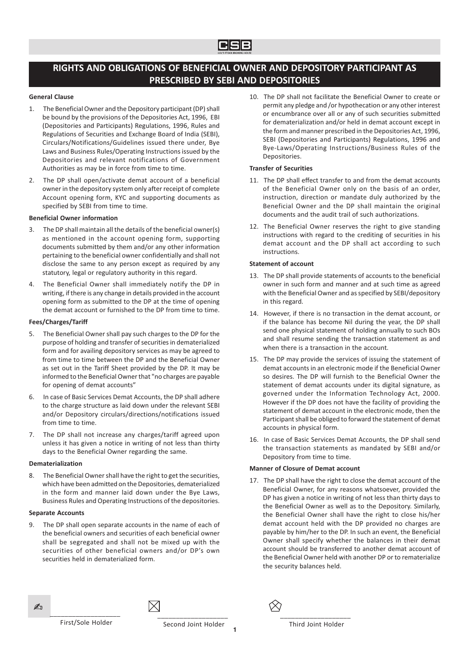# RIGHTS AND OBLIGATIONS OF BENEFICIAL OWNER AND DEPOSITORY PARTICIPANT AS PRESCRIBED BY SEBI AND DEPOSITORIES

# General Clause

- The Beneficial Owner and the Depository participant (DP) shall be bound by the provisions of the Depositories Act, 1996, EBI (Depositories and Participants) Regulations, 1996, Rules and Regulations of Securities and Exchange Board of India (SEBI), Circulars/Notifications/Guidelines issued there under, Bye Laws and Business Rules/Operating Instructions issued by the Depositories and relevant notifications of Government Authorities as may be in force from time to time.
- 2. The DP shall open/activate demat account of a beneficial owner in the depository system only after receipt of complete Account opening form, KYC and supporting documents as specified by SEBI from time to time.

# Beneficial Owner information

- 3. The DP shall maintain all the details of the beneficial owner(s) as mentioned in the account opening form, supporting documents submitted by them and/or any other information pertaining to the beneficial owner confidentially and shall not disclose the same to any person except as required by any statutory, legal or regulatory authority in this regard.
- 4. The Beneficial Owner shall immediately notify the DP in writing, if there is any change in details provided in the account opening form as submitted to the DP at the time of opening the demat account or furnished to the DP from time to time.

# Fees/Charges/Tariff

- 5. The Beneficial Owner shall pay such charges to the DP for the purpose of holding and transfer of securities in dematerialized form and for availing depository services as may be agreed to from time to time between the DP and the Beneficial Owner as set out in the Tariff Sheet provided by the DP. It may be informed to the Beneficial Owner that "no charges are payable for opening of demat accounts"
- 6. In case of Basic Services Demat Accounts, the DP shall adhere to the charge structure as laid down under the relevant SEBI and/or Depository circulars/directions/notifications issued from time to time.
- 7. The DP shall not increase any charges/tariff agreed upon unless it has given a notice in writing of not less than thirty days to the Beneficial Owner regarding the same.

# Dematerialization

8. The Beneficial Owner shall have the right to get the securities, which have been admitted on the Depositories, dematerialized in the form and manner laid down under the Bye Laws, Business Rules and Operating Instructions of the depositories.

# Separate Accounts

9. The DP shall open separate accounts in the name of each of the beneficial owners and securities of each beneficial owner shall be segregated and shall not be mixed up with the securities of other beneficial owners and/or DP's own securities held in dematerialized form.

10. The DP shall not facilitate the Beneficial Owner to create or permit any pledge and /or hypothecation or any other interest or encumbrance over all or any of such securities submitted for dematerialization and/or held in demat account except in the form and manner prescribed in the Depositories Act, 1996, SEBI (Depositories and Participants) Regulations, 1996 and Bye-Laws/Operating Instructions/Business Rules of the Depositories.

# Transfer of Securities

- 11. The DP shall effect transfer to and from the demat accounts of the Beneficial Owner only on the basis of an order, instruction, direction or mandate duly authorized by the Beneficial Owner and the DP shall maintain the original documents and the audit trail of such authorizations.
- 12. The Beneficial Owner reserves the right to give standing instructions with regard to the crediting of securities in his demat account and the DP shall act according to such instructions.

# Statement of account

- 13. The DP shall provide statements of accounts to the beneficial owner in such form and manner and at such time as agreed with the Beneficial Owner and as specified by SEBI/depository in this regard.
- 14. However, if there is no transaction in the demat account, or if the balance has become Nil during the year, the DP shall send one physical statement of holding annually to such BOs and shall resume sending the transaction statement as and when there is a transaction in the account.
- 15. The DP may provide the services of issuing the statement of demat accounts in an electronic mode if the Beneficial Owner so desires. The DP will furnish to the Beneficial Owner the statement of demat accounts under its digital signature, as governed under the Information Technology Act, 2000. However if the DP does not have the facility of providing the statement of demat account in the electronic mode, then the Participant shall be obliged to forward the statement of demat accounts in physical form.
- 16. In case of Basic Services Demat Accounts, the DP shall send the transaction statements as mandated by SEBI and/or Depository from time to time.

# Manner of Closure of Demat account

17. The DP shall have the right to close the demat account of the Beneficial Owner, for any reasons whatsoever, provided the DP has given a notice in writing of not less than thirty days to the Beneficial Owner as well as to the Depository. Similarly, the Beneficial Owner shall have the right to close his/her demat account held with the DP provided no charges are payable by him/her to the DP. In such an event, the Beneficial Owner shall specify whether the balances in their demat account should be transferred to another demat account of the Beneficial Owner held with another DP or to rematerialize the security balances held.



Second Joint Holder

\_\_\_\_\_\_\_\_\_\_\_\_\_\_\_\_\_\_\_

**1**

\_\_\_\_\_\_\_\_\_\_\_\_\_\_\_\_\_\_\_ Third Joint Holder